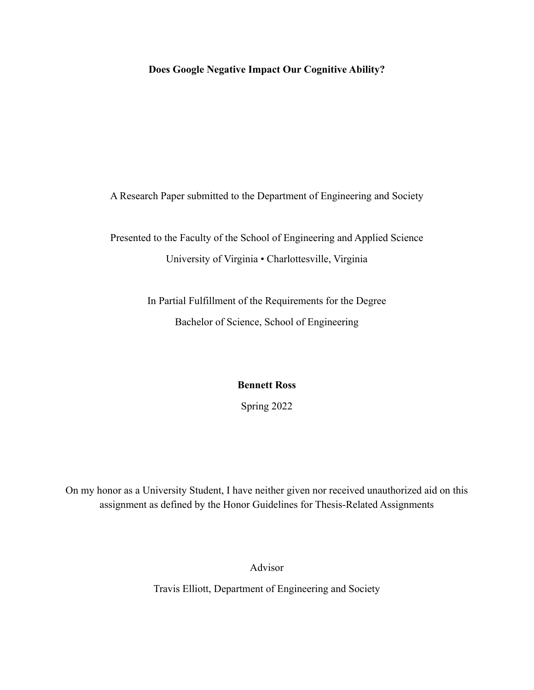## **Does Google Negative Impact Our Cognitive Ability?**

A Research Paper submitted to the Department of Engineering and Society

Presented to the Faculty of the School of Engineering and Applied Science University of Virginia • Charlottesville, Virginia

> In Partial Fulfillment of the Requirements for the Degree Bachelor of Science, School of Engineering

> > **Bennett Ross**

Spring 2022

On my honor as a University Student, I have neither given nor received unauthorized aid on this assignment as defined by the Honor Guidelines for Thesis-Related Assignments

Advisor

Travis Elliott, Department of Engineering and Society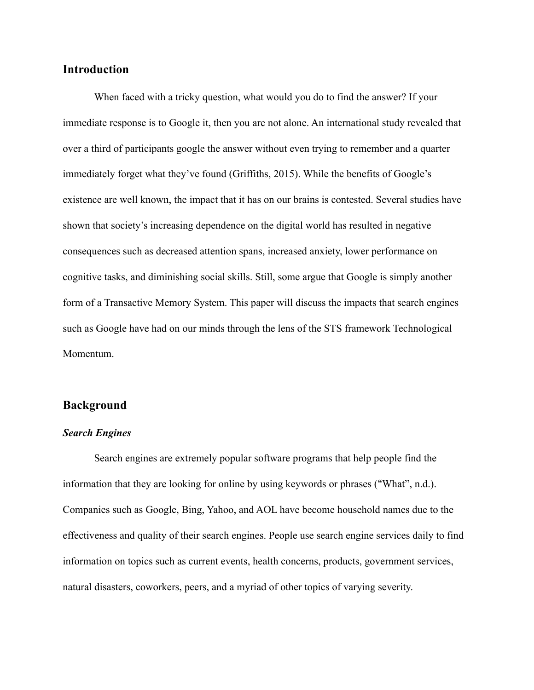## **Introduction**

When faced with a tricky question, what would you do to find the answer? If your immediate response is to Google it, then you are not alone. An international study revealed that over a third of participants google the answer without even trying to remember and a quarter immediately forget what they've found (Griffiths, 2015). While the benefits of Google's existence are well known, the impact that it has on our brains is contested. Several studies have shown that society's increasing dependence on the digital world has resulted in negative consequences such as decreased attention spans, increased anxiety, lower performance on cognitive tasks, and diminishing social skills. Still, some argue that Google is simply another form of a Transactive Memory System. This paper will discuss the impacts that search engines such as Google have had on our minds through the lens of the STS framework Technological Momentum.

#### **Background**

#### *Search Engines*

Search engines are extremely popular software programs that help people find the information that they are looking for online by using keywords or phrases ("What", n.d.). Companies such as Google, Bing, Yahoo, and AOL have become household names due to the effectiveness and quality of their search engines. People use search engine services daily to find information on topics such as current events, health concerns, products, government services, natural disasters, coworkers, peers, and a myriad of other topics of varying severity.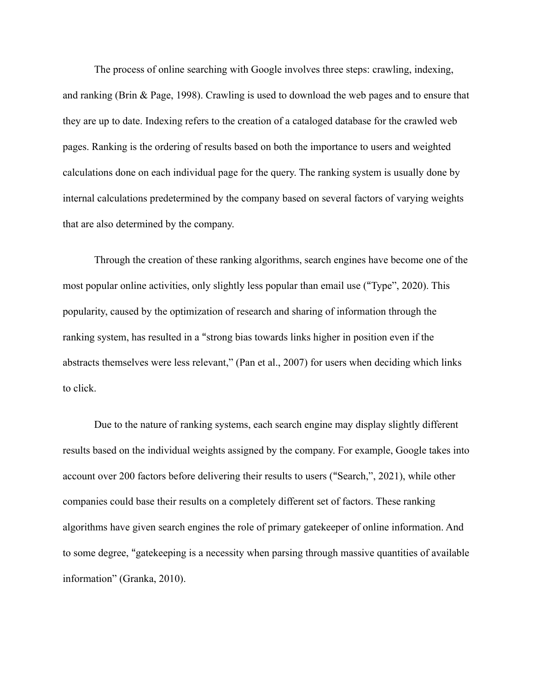The process of online searching with Google involves three steps: crawling, indexing, and ranking (Brin & Page, 1998). Crawling is used to download the web pages and to ensure that they are up to date. Indexing refers to the creation of a cataloged database for the crawled web pages. Ranking is the ordering of results based on both the importance to users and weighted calculations done on each individual page for the query. The ranking system is usually done by internal calculations predetermined by the company based on several factors of varying weights that are also determined by the company.

Through the creation of these ranking algorithms, search engines have become one of the most popular online activities, only slightly less popular than email use ("Type", 2020). This popularity, caused by the optimization of research and sharing of information through the ranking system, has resulted in a "strong bias towards links higher in position even if the abstracts themselves were less relevant," (Pan et al., 2007) for users when deciding which links to click.

Due to the nature of ranking systems, each search engine may display slightly different results based on the individual weights assigned by the company. For example, Google takes into account over 200 factors before delivering their results to users ("Search,", 2021), while other companies could base their results on a completely different set of factors. These ranking algorithms have given search engines the role of primary gatekeeper of online information. And to some degree, "gatekeeping is a necessity when parsing through massive quantities of available information" (Granka, 2010).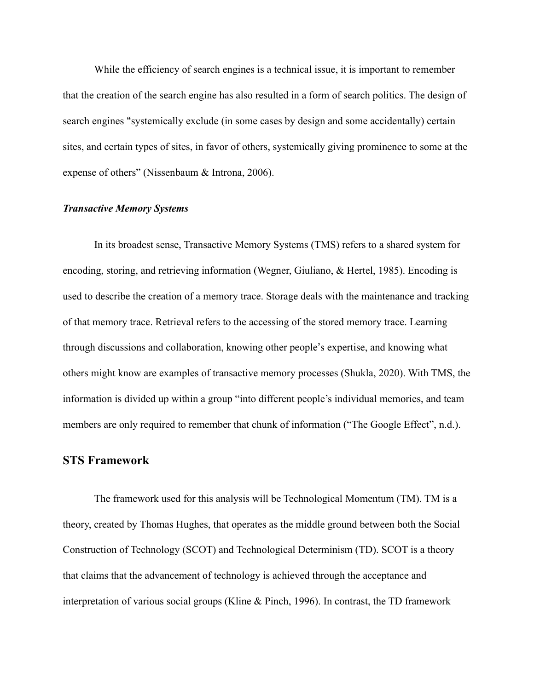While the efficiency of search engines is a technical issue, it is important to remember that the creation of the search engine has also resulted in a form of search politics. The design of search engines "systemically exclude (in some cases by design and some accidentally) certain sites, and certain types of sites, in favor of others, systemically giving prominence to some at the expense of others" (Nissenbaum & Introna, 2006).

#### *Transactive Memory Systems*

In its broadest sense, Transactive Memory Systems (TMS) refers to a shared system for encoding, storing, and retrieving information (Wegner, Giuliano, & Hertel, 1985). Encoding is used to describe the creation of a memory trace. Storage deals with the maintenance and tracking of that memory trace. Retrieval refers to the accessing of the stored memory trace. Learning through discussions and collaboration, knowing other people's expertise, and knowing what others might know are examples of transactive memory processes (Shukla, 2020). With TMS, the information is divided up within a group "into different people's individual memories, and team members are only required to remember that chunk of information ("The Google Effect", n.d.).

#### **STS Framework**

The framework used for this analysis will be Technological Momentum (TM). TM is a theory, created by Thomas Hughes, that operates as the middle ground between both the Social Construction of Technology (SCOT) and Technological Determinism (TD). SCOT is a theory that claims that the advancement of technology is achieved through the acceptance and interpretation of various social groups (Kline & Pinch, 1996). In contrast, the TD framework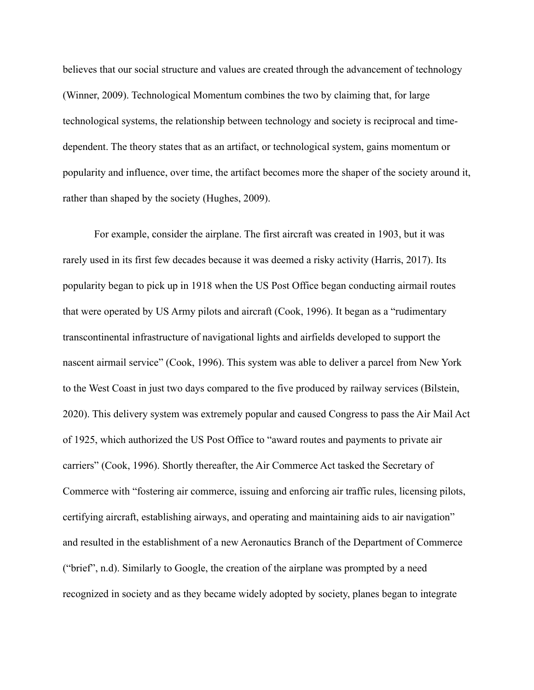believes that our social structure and values are created through the advancement of technology (Winner, 2009). Technological Momentum combines the two by claiming that, for large technological systems, the relationship between technology and society is reciprocal and timedependent. The theory states that as an artifact, or technological system, gains momentum or popularity and influence, over time, the artifact becomes more the shaper of the society around it, rather than shaped by the society (Hughes, 2009).

For example, consider the airplane. The first aircraft was created in 1903, but it was rarely used in its first few decades because it was deemed a risky activity (Harris, 2017). Its popularity began to pick up in 1918 when the US Post Office began conducting airmail routes that were operated by US Army pilots and aircraft (Cook, 1996). It began as a "rudimentary transcontinental infrastructure of navigational lights and airfields developed to support the nascent airmail service" (Cook, 1996). This system was able to deliver a parcel from New York to the West Coast in just two days compared to the five produced by railway services (Bilstein, 2020). This delivery system was extremely popular and caused Congress to pass the Air Mail Act of 1925, which authorized the US Post Office to "award routes and payments to private air carriers" (Cook, 1996). Shortly thereafter, the Air Commerce Act tasked the Secretary of Commerce with "fostering air commerce, issuing and enforcing air traffic rules, licensing pilots, certifying aircraft, establishing airways, and operating and maintaining aids to air navigation" and resulted in the establishment of a new Aeronautics Branch of the Department of Commerce ("brief", n.d). Similarly to Google, the creation of the airplane was prompted by a need recognized in society and as they became widely adopted by society, planes began to integrate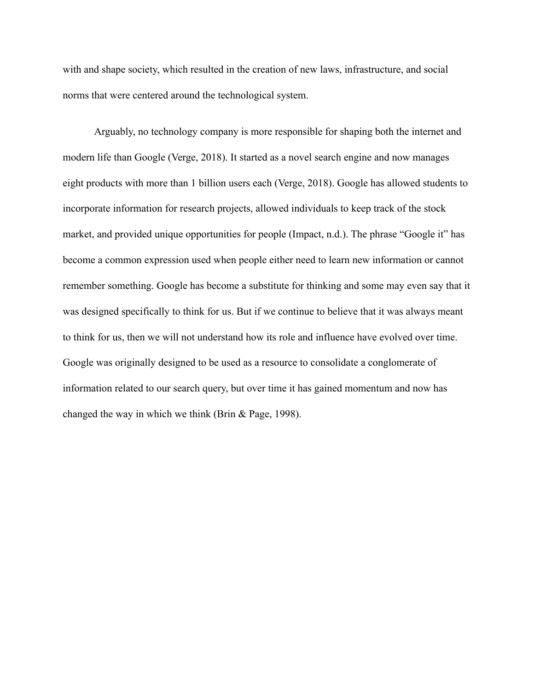with and shape society, which resulted in the creation of new laws, infrastructure, and social norms that were centered around the technological system.

Arguably, no technology company is more responsible for shaping both the internet and modern life than Google (Verge, 2018). It started as a novel search engine and now manages eight products with more than 1 billion users each (Verge, 2018). Google has allowed students to incorporate information for research projects, allowed individuals to keep track of the stock market, and provided unique opportunities for people (Impact, n.d.). The phrase "Google it" has become a common expression used when people either need to learn new information or cannot remember something. Google has become a substitute for thinking and some may even say that it was designed specifically to think for us. But if we continue to believe that it was always meant to think for us, then we will not understand how its role and influence have evolved over time. Google was originally designed to be used as a resource to consolidate a conglomerate of information related to our search query, but over time it has gained momentum and now has changed the way in which we think (Brin & Page, 1998).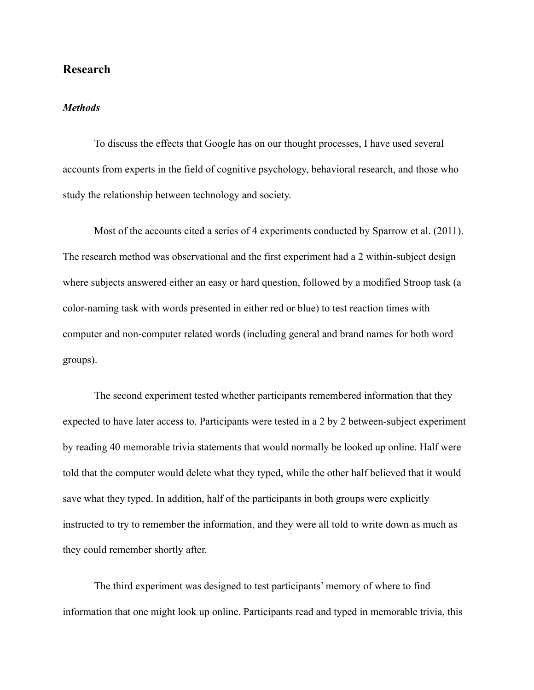## **Research**

#### *Methods*

To discuss the effects that Google has on our thought processes, I have used several accounts from experts in the field of cognitive psychology, behavioral research, and those who study the relationship between technology and society.

Most of the accounts cited a series of 4 experiments conducted by Sparrow et al. (2011). The research method was observational and the first experiment had a 2 within-subject design where subjects answered either an easy or hard question, followed by a modified Stroop task (a color-naming task with words presented in either red or blue) to test reaction times with computer and non-computer related words (including general and brand names for both word groups).

The second experiment tested whether participants remembered information that they expected to have later access to. Participants were tested in a 2 by 2 between-subject experiment by reading 40 memorable trivia statements that would normally be looked up online. Half were told that the computer would delete what they typed, while the other half believed that it would save what they typed. In addition, half of the participants in both groups were explicitly instructed to try to remember the information, and they were all told to write down as much as they could remember shortly after.

The third experiment was designed to test participants' memory of where to find information that one might look up online. Participants read and typed in memorable trivia, this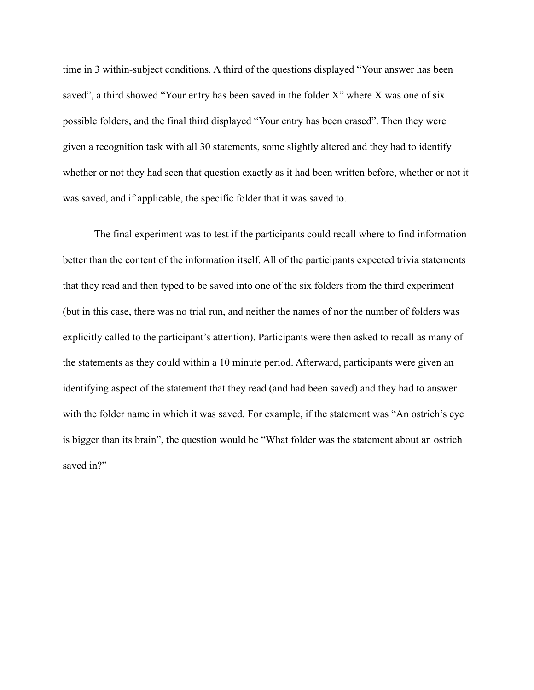time in 3 within-subject conditions. A third of the questions displayed "Your answer has been saved", a third showed "Your entry has been saved in the folder X" where X was one of six possible folders, and the final third displayed "Your entry has been erased". Then they were given a recognition task with all 30 statements, some slightly altered and they had to identify whether or not they had seen that question exactly as it had been written before, whether or not it was saved, and if applicable, the specific folder that it was saved to.

The final experiment was to test if the participants could recall where to find information better than the content of the information itself. All of the participants expected trivia statements that they read and then typed to be saved into one of the six folders from the third experiment (but in this case, there was no trial run, and neither the names of nor the number of folders was explicitly called to the participant's attention). Participants were then asked to recall as many of the statements as they could within a 10 minute period. Afterward, participants were given an identifying aspect of the statement that they read (and had been saved) and they had to answer with the folder name in which it was saved. For example, if the statement was "An ostrich's eye is bigger than its brain", the question would be "What folder was the statement about an ostrich saved in?"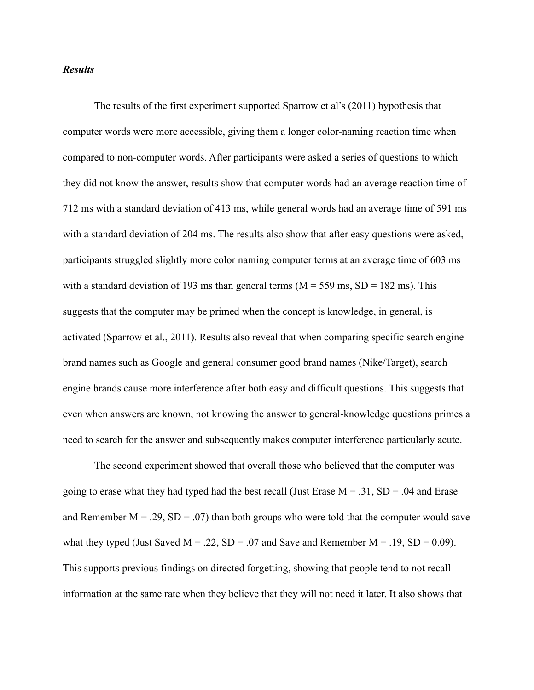#### *Results*

The results of the first experiment supported Sparrow et al's (2011) hypothesis that computer words were more accessible, giving them a longer color-naming reaction time when compared to non-computer words. After participants were asked a series of questions to which they did not know the answer, results show that computer words had an average reaction time of 712 ms with a standard deviation of 413 ms, while general words had an average time of 591 ms with a standard deviation of 204 ms. The results also show that after easy questions were asked, participants struggled slightly more color naming computer terms at an average time of 603 ms with a standard deviation of 193 ms than general terms ( $M = 559$  ms,  $SD = 182$  ms). This suggests that the computer may be primed when the concept is knowledge, in general, is activated (Sparrow et al., 2011). Results also reveal that when comparing specific search engine brand names such as Google and general consumer good brand names (Nike/Target), search engine brands cause more interference after both easy and difficult questions. This suggests that even when answers are known, not knowing the answer to general-knowledge questions primes a need to search for the answer and subsequently makes computer interference particularly acute.

The second experiment showed that overall those who believed that the computer was going to erase what they had typed had the best recall (Just Erase  $M = .31$ ,  $SD = .04$  and Erase and Remember  $M = .29$ ,  $SD = .07$ ) than both groups who were told that the computer would save what they typed (Just Saved  $M = .22$ ,  $SD = .07$  and Save and Remember  $M = .19$ ,  $SD = 0.09$ ). This supports previous findings on directed forgetting, showing that people tend to not recall information at the same rate when they believe that they will not need it later. It also shows that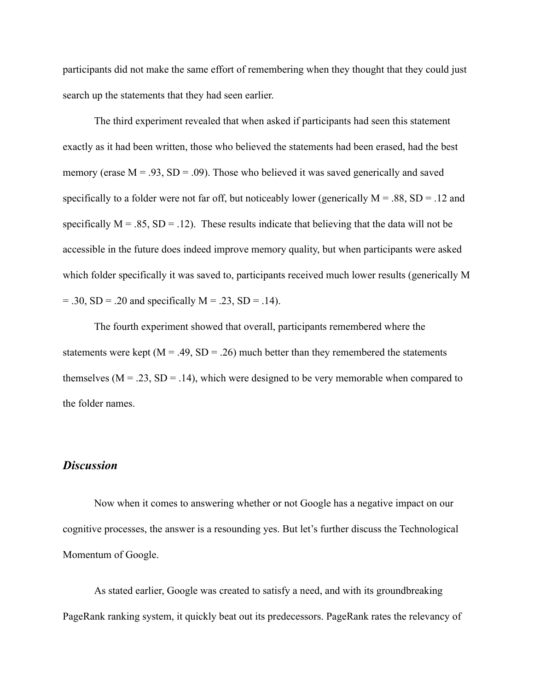participants did not make the same effort of remembering when they thought that they could just search up the statements that they had seen earlier.

The third experiment revealed that when asked if participants had seen this statement exactly as it had been written, those who believed the statements had been erased, had the best memory (erase  $M = .93$ ,  $SD = .09$ ). Those who believed it was saved generically and saved specifically to a folder were not far off, but noticeably lower (generically  $M = .88$ ,  $SD = .12$  and specifically  $M = .85$ ,  $SD = .12$ ). These results indicate that believing that the data will not be accessible in the future does indeed improve memory quality, but when participants were asked which folder specifically it was saved to, participants received much lower results (generically M  $= .30, SD = .20$  and specifically  $M = .23, SD = .14$ ).

The fourth experiment showed that overall, participants remembered where the statements were kept ( $M = .49$ ,  $SD = .26$ ) much better than they remembered the statements themselves ( $M = .23$ ,  $SD = .14$ ), which were designed to be very memorable when compared to the folder names.

### *Discussion*

Now when it comes to answering whether or not Google has a negative impact on our cognitive processes, the answer is a resounding yes. But let's further discuss the Technological Momentum of Google.

As stated earlier, Google was created to satisfy a need, and with its groundbreaking PageRank ranking system, it quickly beat out its predecessors. PageRank rates the relevancy of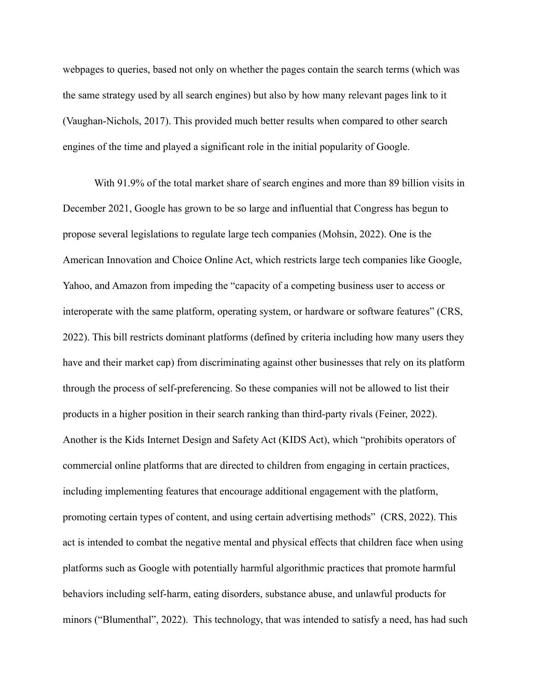webpages to queries, based not only on whether the pages contain the search terms (which was the same strategy used by all search engines) but also by how many relevant pages link to it (Vaughan-Nichols, 2017). This provided much better results when compared to other search engines of the time and played a significant role in the initial popularity of Google.

With 91.9% of the total market share of search engines and more than 89 billion visits in December 2021, Google has grown to be so large and influential that Congress has begun to propose several legislations to regulate large tech companies (Mohsin, 2022). One is the American Innovation and Choice Online Act, which restricts large tech companies like Google, Yahoo, and Amazon from impeding the "capacity of a competing business user to access or interoperate with the same platform, operating system, or hardware or software features" (CRS, 2022). This bill restricts dominant platforms (defined by criteria including how many users they have and their market cap) from discriminating against other businesses that rely on its platform through the process of self-preferencing. So these companies will not be allowed to list their products in a higher position in their search ranking than third-party rivals (Feiner, 2022). Another is the Kids Internet Design and Safety Act (KIDS Act), which "prohibits operators of commercial online platforms that are directed to children from engaging in certain practices, including implementing features that encourage additional engagement with the platform, promoting certain types of content, and using certain advertising methods" (CRS, 2022). This act is intended to combat the negative mental and physical effects that children face when using platforms such as Google with potentially harmful algorithmic practices that promote harmful behaviors including self-harm, eating disorders, substance abuse, and unlawful products for minors ("Blumenthal", 2022). This technology, that was intended to satisfy a need, has had such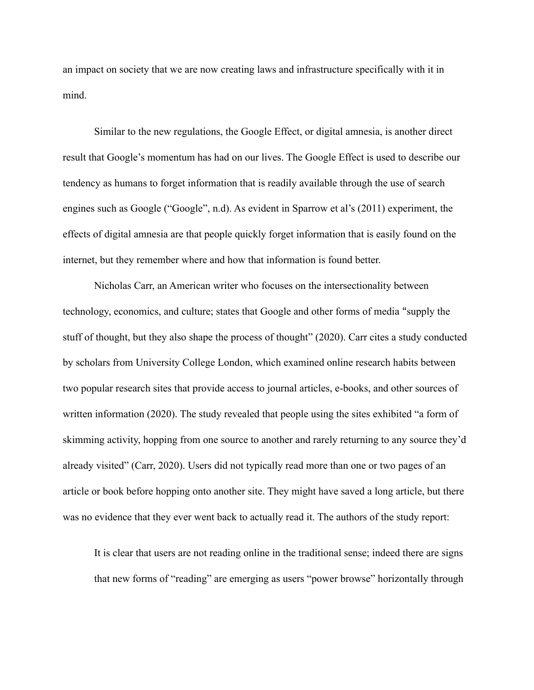an impact on society that we are now creating laws and infrastructure specifically with it in mind.

Similar to the new regulations, the Google Effect, or digital amnesia, is another direct result that Google's momentum has had on our lives. The Google Effect is used to describe our tendency as humans to forget information that is readily available through the use of search engines such as Google ("Google", n.d). As evident in Sparrow et al's (2011) experiment, the effects of digital amnesia are that people quickly forget information that is easily found on the internet, but they remember where and how that information is found better.

Nicholas Carr, an American writer who focuses on the intersectionality between technology, economics, and culture; states that Google and other forms of media "supply the stuff of thought, but they also shape the process of thought" (2020). Carr cites a study conducted by scholars from University College London, which examined online research habits between two popular research sites that provide access to journal articles, e-books, and other sources of written information (2020). The study revealed that people using the sites exhibited "a form of skimming activity, hopping from one source to another and rarely returning to any source they'd already visited" (Carr, 2020). Users did not typically read more than one or two pages of an article or book before hopping onto another site. They might have saved a long article, but there was no evidence that they ever went back to actually read it. The authors of the study report:

It is clear that users are not reading online in the traditional sense; indeed there are signs that new forms of "reading" are emerging as users "power browse" horizontally through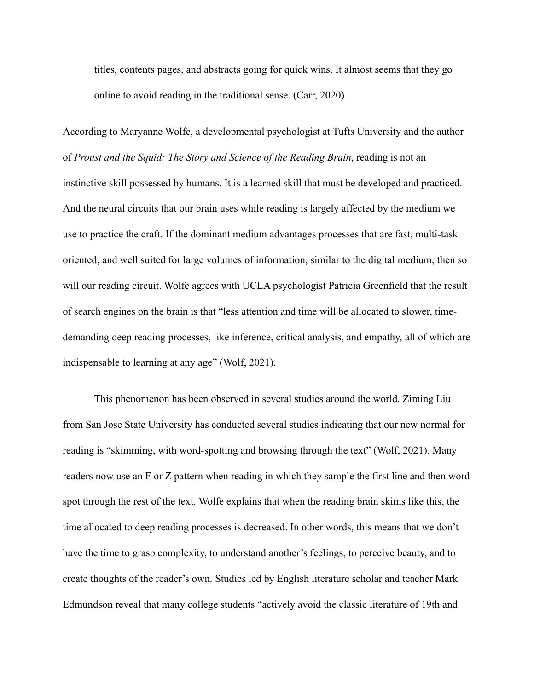titles, contents pages, and abstracts going for quick wins. It almost seems that they go online to avoid reading in the traditional sense. (Carr, 2020)

According to Maryanne Wolfe, a developmental psychologist at Tufts University and the author of *Proust and the Squid: The Story and Science of the Reading Brain*, reading is not an instinctive skill possessed by humans. It is a learned skill that must be developed and practiced. And the neural circuits that our brain uses while reading is largely affected by the medium we use to practice the craft. If the dominant medium advantages processes that are fast, multi-task oriented, and well suited for large volumes of information, similar to the digital medium, then so will our reading circuit. Wolfe agrees with UCLA psychologist Patricia Greenfield that the result of search engines on the brain is that "less attention and time will be allocated to slower, timedemanding deep reading processes, like inference, critical analysis, and empathy, all of which are indispensable to learning at any age" (Wolf, 2021).

This phenomenon has been observed in several studies around the world. Ziming Liu from San Jose State University has conducted several studies indicating that our new normal for reading is "skimming, with word-spotting and browsing through the text" (Wolf, 2021). Many readers now use an F or Z pattern when reading in which they sample the first line and then word spot through the rest of the text. Wolfe explains that when the reading brain skims like this, the time allocated to deep reading processes is decreased. In other words, this means that we don't have the time to grasp complexity, to understand another's feelings, to perceive beauty, and to create thoughts of the reader's own. Studies led by English literature scholar and teacher Mark Edmundson reveal that many college students "actively avoid the classic literature of 19th and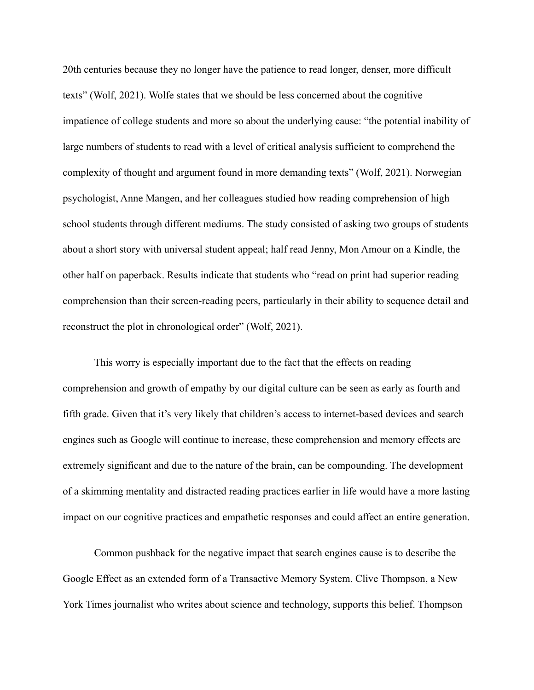20th centuries because they no longer have the patience to read longer, denser, more difficult texts" (Wolf, 2021). Wolfe states that we should be less concerned about the cognitive impatience of college students and more so about the underlying cause: "the potential inability of large numbers of students to read with a level of critical analysis sufficient to comprehend the complexity of thought and argument found in more demanding texts" (Wolf, 2021). Norwegian psychologist, Anne Mangen, and her colleagues studied how reading comprehension of high school students through different mediums. The study consisted of asking two groups of students about a short story with universal student appeal; half read Jenny, Mon Amour on a Kindle, the other half on paperback. Results indicate that students who "read on print had superior reading comprehension than their screen-reading peers, particularly in their ability to sequence detail and reconstruct the plot in chronological order" (Wolf, 2021).

This worry is especially important due to the fact that the effects on reading comprehension and growth of empathy by our digital culture can be seen as early as fourth and fifth grade. Given that it's very likely that children's access to internet-based devices and search engines such as Google will continue to increase, these comprehension and memory effects are extremely significant and due to the nature of the brain, can be compounding. The development of a skimming mentality and distracted reading practices earlier in life would have a more lasting impact on our cognitive practices and empathetic responses and could affect an entire generation.

Common pushback for the negative impact that search engines cause is to describe the Google Effect as an extended form of a Transactive Memory System. Clive Thompson, a New York Times journalist who writes about science and technology, supports this belief. Thompson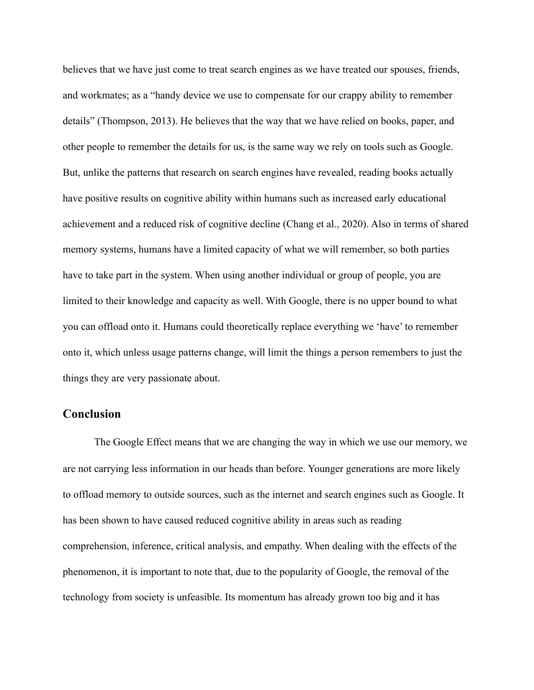believes that we have just come to treat search engines as we have treated our spouses, friends, and workmates; as a "handy device we use to compensate for our crappy ability to remember details" (Thompson, 2013). He believes that the way that we have relied on books, paper, and other people to remember the details for us, is the same way we rely on tools such as Google. But, unlike the patterns that research on search engines have revealed, reading books actually have positive results on cognitive ability within humans such as increased early educational achievement and a reduced risk of cognitive decline (Chang et al., 2020). Also in terms of shared memory systems, humans have a limited capacity of what we will remember, so both parties have to take part in the system. When using another individual or group of people, you are limited to their knowledge and capacity as well. With Google, there is no upper bound to what you can offload onto it. Humans could theoretically replace everything we 'have' to remember onto it, which unless usage patterns change, will limit the things a person remembers to just the things they are very passionate about.

## **Conclusion**

The Google Effect means that we are changing the way in which we use our memory, we are not carrying less information in our heads than before. Younger generations are more likely to offload memory to outside sources, such as the internet and search engines such as Google. It has been shown to have caused reduced cognitive ability in areas such as reading comprehension, inference, critical analysis, and empathy. When dealing with the effects of the phenomenon, it is important to note that, due to the popularity of Google, the removal of the technology from society is unfeasible. Its momentum has already grown too big and it has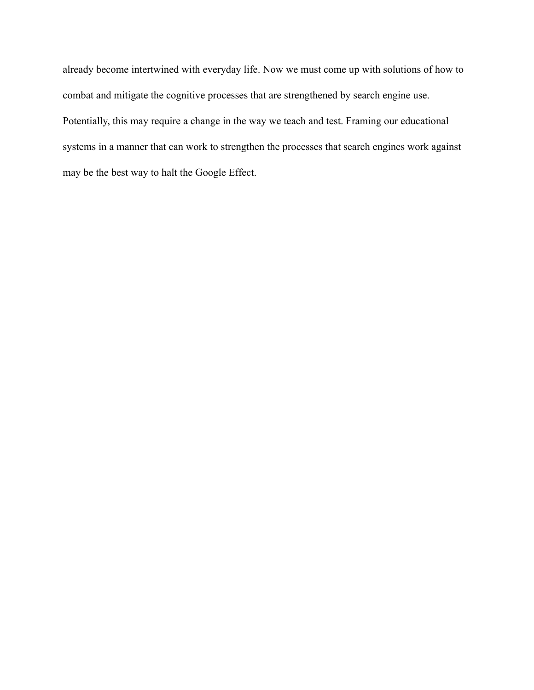already become intertwined with everyday life. Now we must come up with solutions of how to combat and mitigate the cognitive processes that are strengthened by search engine use. Potentially, this may require a change in the way we teach and test. Framing our educational systems in a manner that can work to strengthen the processes that search engines work against may be the best way to halt the Google Effect.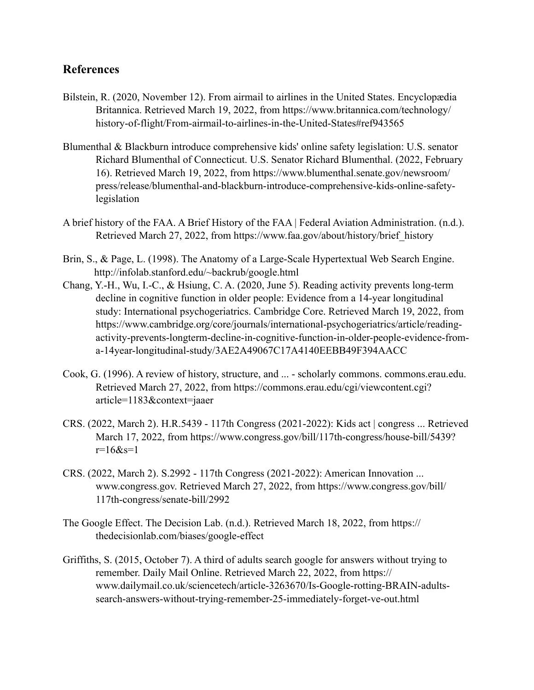# **References**

- Bilstein, R. (2020, November 12). From airmail to airlines in the United States. Encyclopædia Britannica. Retrieved March 19, 2022, from https://www.britannica.com/technology/ history-of-flight/From-airmail-to-airlines-in-the-United-States#ref943565
- Blumenthal & Blackburn introduce comprehensive kids' online safety legislation: U.S. senator Richard Blumenthal of Connecticut. U.S. Senator Richard Blumenthal. (2022, February 16). Retrieved March 19, 2022, from https://www.blumenthal.senate.gov/newsroom/ press/release/blumenthal-and-blackburn-introduce-comprehensive-kids-online-safetylegislation
- A brief history of the FAA. A Brief History of the FAA | Federal Aviation Administration. (n.d.). Retrieved March 27, 2022, from https://www.faa.gov/about/history/brief\_history
- Brin, S., & Page, L. (1998). The Anatomy of a Large-Scale Hypertextual Web Search Engine. <http://infolab.stanford.edu/~backrub/google.html>
- Chang, Y.-H., Wu, I.-C., & Hsiung, C. A. (2020, June 5). Reading activity prevents long-term decline in cognitive function in older people: Evidence from a 14-year longitudinal study: International psychogeriatrics. Cambridge Core. Retrieved March 19, 2022, from https://www.cambridge.org/core/journals/international-psychogeriatrics/article/readingactivity-prevents-longterm-decline-in-cognitive-function-in-older-people-evidence-froma-14year-longitudinal-study/3AE2A49067C17A4140EEBB49F394AACC
- Cook, G. (1996). A review of history, structure, and ... scholarly commons. commons.erau.edu. Retrieved March 27, 2022, from https://commons.erau.edu/cgi/viewcontent.cgi? article=1183&context=jaaer
- CRS. (2022, March 2). H.R.5439 117th Congress (2021-2022): Kids act | congress ... Retrieved March 17, 2022, from https://www.congress.gov/bill/117th-congress/house-bill/5439?  $r=16$ &s=1
- CRS. (2022, March 2). S.2992 117th Congress (2021-2022): American Innovation ... www.congress.gov. Retrieved March 27, 2022, from https://www.congress.gov/bill/ 117th-congress/senate-bill/2992
- The Google Effect. The Decision Lab. (n.d.). Retrieved March 18, 2022, from https:// thedecisionlab.com/biases/google-effect
- Griffiths, S. (2015, October 7). A third of adults search google for answers without trying to remember. Daily Mail Online. Retrieved March 22, 2022, from https:// www.dailymail.co.uk/sciencetech/article-3263670/Is-Google-rotting-BRAIN-adultssearch-answers-without-trying-remember-25-immediately-forget-ve-out.html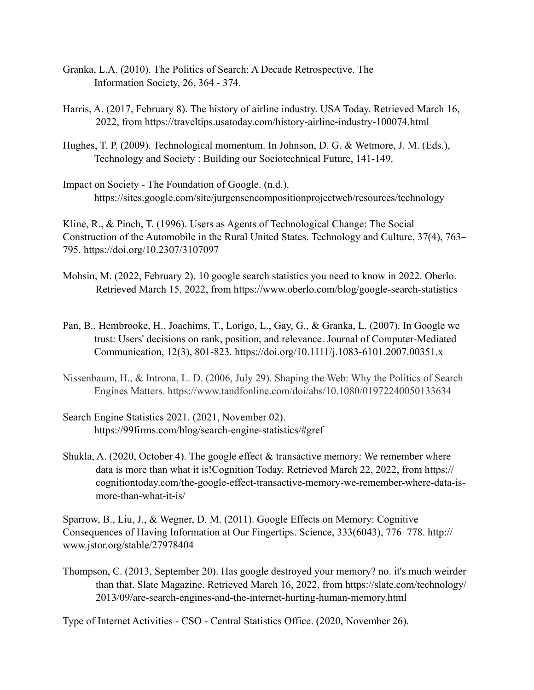- Granka, L.A. (2010). The Politics of Search: A Decade Retrospective. The Information Society, 26, 364 - 374.
- Harris, A. (2017, February 8). The history of airline industry. USA Today. Retrieved March 16, 2022, from https://traveltips.usatoday.com/history-airline-industry-100074.html
- Hughes, T. P. (2009). Technological momentum. In Johnson, D. G. & Wetmore, J. M. (Eds.), Technology and Society : Building our Sociotechnical Future, 141-149.
- Impact on Society The Foundation of Google. (n.d.). https://sites.google.com/site/jurgensencompositionprojectweb/resources/technology

Kline, R., & Pinch, T. (1996). Users as Agents of Technological Change: The Social Construction of the Automobile in the Rural United States. Technology and Culture, 37(4), 763– 795. https://doi.org/10.2307/3107097

- Mohsin, M. (2022, February 2). 10 google search statistics you need to know in 2022. Oberlo. Retrieved March 15, 2022, from https://www.oberlo.com/blog/google-search-statistics
- Pan, B., Hembrooke, H., Joachims, T., Lorigo, L., Gay, G., & Granka, L. (2007). In Google we trust: Users' decisions on rank, position, and relevance. Journal of Computer-Mediated Communication, 12(3), 801-823.<https://doi.org/10.1111/j.1083-6101.2007.00351.x>
- Nissenbaum, H., & Introna, L. D. (2006, July 29). Shaping the Web: Why the Politics of Search Engines Matters.<https://www.tandfonline.com/doi/abs/10.1080/01972240050133634>
- Search Engine Statistics 2021. (2021, November 02). [https://99firms.com/blog/search-engine-statistics/#gref](https://99firms.com/blog/search-engine-statistics/%23gref)
- Shukla, A. (2020, October 4). The google effect & transactive memory: We remember where data is more than what it is!Cognition Today. Retrieved March 22, 2022, from https:// cognitiontoday.com/the-google-effect-transactive-memory-we-remember-where-data-ismore-than-what-it-is/

Sparrow, B., Liu, J., & Wegner, D. M. (2011). Google Effects on Memory: Cognitive Consequences of Having Information at Our Fingertips. Science, 333(6043), 776–778. http:// www.jstor.org/stable/27978404

Thompson, C. (2013, September 20). Has google destroyed your memory? no. it's much weirder than that. Slate Magazine. Retrieved March 16, 2022, from https://slate.com/technology/ 2013/09/are-search-engines-and-the-internet-hurting-human-memory.html

Type of Internet Activities - CSO - Central Statistics Office. (2020, November 26).